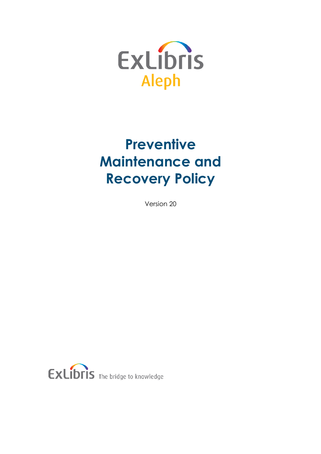

# **Preventive Maintenance and Recovery Policy**

Version 20

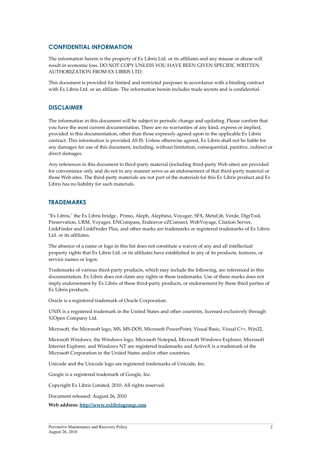#### **CONFIDENTIAL INFORMATION**

The information herein is the property of Ex Libris Ltd. or its affiliates and any misuse or abuse will result in economic loss. DO NOT COPY UNLESS YOU HAVE BEEN GIVEN SPECIFIC WRITTEN AUTHORIZATION FROM EX LIBRIS LTD.

This document is provided for limited and restricted purposes in accordance with a binding contract with Ex Libris Ltd. or an affiliate. The information herein includes trade secrets and is confidential.

#### **DISCLAIMER**

The information in this document will be subject to periodic change and updating. Please confirm that you have the most current documentation. There are no warranties of any kind, express or implied, provided in this documentation, other than those expressly agreed upon in the applicable Ex Libris contract. This information is provided AS IS. Unless otherwise agreed, Ex Libris shall not be liable for any damages for use of this document, including, without limitation, consequential, punitive, indirect or direct damages.

Any references in this document to third-party material (including third-party Web sites) are provided for convenience only and do not in any manner serve as an endorsement of that third-party material or those Web sites. The third-party materials are not part of the materials for this Ex Libris product and Ex Libris has no liability for such materials.

#### **TRADEMARKS**

"Ex Libris," the Ex Libris bridge , Primo, Aleph, Alephino, Voyager, SFX, MetaLib, Verde, DigiTool, Preservation, URM, Voyager, ENCompass, Endeavor eZConnect, WebVoyage, Citation Server, LinkFinder and LinkFinder Plus, and other marks are trademarks or registered trademarks of Ex Libris Ltd. or its affiliates.

The absence of a name or logo in this list does not constitute a waiver of any and all intellectual property rights that Ex Libris Ltd. or its affiliates have established in any of its products, features, or service names or logos.

Trademarks of various third-party products, which may include the following, are referenced in this documentation. Ex Libris does not claim any rights in these trademarks. Use of these marks does not imply endorsement by Ex Libris of these third-party products, or endorsement by these third parties of Ex Libris products.

Oracle is a registered trademark of Oracle Corporation.

UNIX is a registered trademark in the United States and other countries, licensed exclusively through X/Open Company Ltd.

Microsoft, the Microsoft logo, MS, MS-DOS, Microsoft PowerPoint, Visual Basic, Visual C++, Win32,

Microsoft Windows, the Windows logo, Microsoft Notepad, Microsoft Windows Explorer, Microsoft Internet Explorer, and Windows NT are registered trademarks and ActiveX is a trademark of the Microsoft Corporation in the United States and/or other countries.

Unicode and the Unicode logo are registered trademarks of Unicode, Inc.

Google is a registered trademark of Google, Inc.

Copyright Ex Libris Limited, 2010. All rights reserved.

Document released: August 26, 2010

**Web address: [http://www.exlibrisgroup.com](http://www.exlibrisgroup.com/)**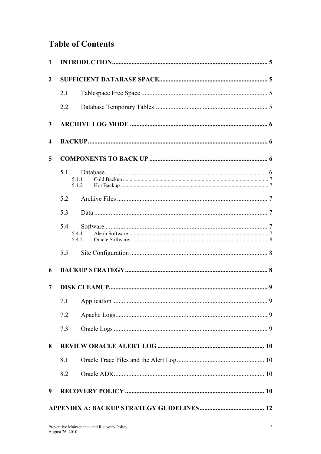# **Table of Contents**

| $\mathbf{1}$            |                       |       |  |  |  |  |  |
|-------------------------|-----------------------|-------|--|--|--|--|--|
| $\overline{2}$          |                       |       |  |  |  |  |  |
|                         | 2.1                   |       |  |  |  |  |  |
|                         | 2.2                   |       |  |  |  |  |  |
| 3                       |                       |       |  |  |  |  |  |
| $\overline{\mathbf{4}}$ |                       |       |  |  |  |  |  |
| 5                       |                       |       |  |  |  |  |  |
|                         | 5.1<br>5.1.1          | 5.1.2 |  |  |  |  |  |
|                         | 5.2                   |       |  |  |  |  |  |
|                         | 5.3                   |       |  |  |  |  |  |
|                         | 5.4<br>5.4.1<br>5.4.2 |       |  |  |  |  |  |
|                         | 5.5                   |       |  |  |  |  |  |
| 6                       |                       |       |  |  |  |  |  |
| 7                       |                       |       |  |  |  |  |  |
|                         | 7.1                   |       |  |  |  |  |  |
|                         | 7.2                   |       |  |  |  |  |  |
|                         | 7.3                   |       |  |  |  |  |  |
| 8                       |                       |       |  |  |  |  |  |
|                         | 8.1                   |       |  |  |  |  |  |
|                         | 8.2                   |       |  |  |  |  |  |
| 9                       |                       |       |  |  |  |  |  |
|                         |                       |       |  |  |  |  |  |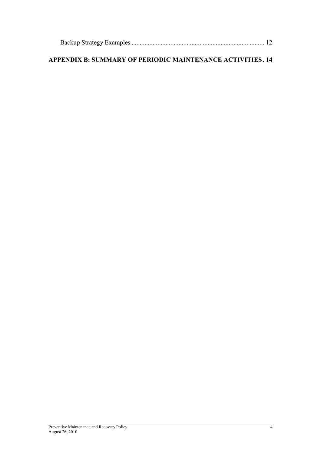# **[APPENDIX B: SUMMARY OF PERIODIC MAINTENANCE ACTIVITIES . 14](#page-13-0)**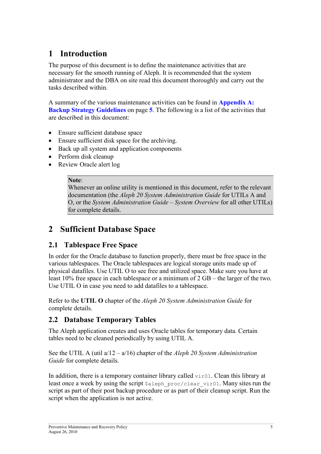# <span id="page-4-0"></span>**1 Introduction**

The purpose of this document is to define the maintenance activities that are necessary for the smooth running of Aleph. It is recommended that the system administrator and the DBA on site read this document thoroughly and carry out the tasks described within.

A summary of the various maintenance activities can be found in **[Appendix A:](#page-11-0) [Backup Strategy Guidelines](#page-11-0)** on page **5**. The following is a list of the activities that are described in this document:

- Ensure sufficient database space
- Ensure sufficient disk space for the archiving.
- Back up all system and application components
- Perform disk cleanup
- Review Oracle alert log

#### **Note**:

Whenever an online utility is mentioned in this document, refer to the relevant documentation (the *Aleph 20 System Administration Guide* for UTILs A and O, or the *System Administration Guide – System Overview* for all other UTILs) for complete details.

# **2 Sufficient Database Space**

## **2.1 Tablespace Free Space**

In order for the Oracle database to function properly, there must be free space in the various tablespaces. The Oracle tablespaces are logical storage units made up of physical datafiles. Use UTIL O to see free and utilized space. Make sure you have at least 10% free space in each tablespace or a minimum of 2 GB – the larger of the two. Use UTIL O in case you need to add datafiles to a tablespace.

Refer to the **UTIL O** chapter of the *Aleph 20 System Administration Guide* for complete details.

## **2.2 Database Temporary Tables**

The Aleph application creates and uses Oracle tables for temporary data. Certain tables need to be cleaned periodically by using UTIL A.

See the UTIL A (util a/12 – a/16) chapter of the *Aleph 20 System Administration Guide* for complete details.

In addition, there is a temporary container library called  $\forall$ ir01. Clean this library at least once a week by using the script  $\frac{1}{2}$  aleph proc/clear vir01. Many sites run the script as part of their post backup procedure or as part of their cleanup script. Run the script when the application is not active.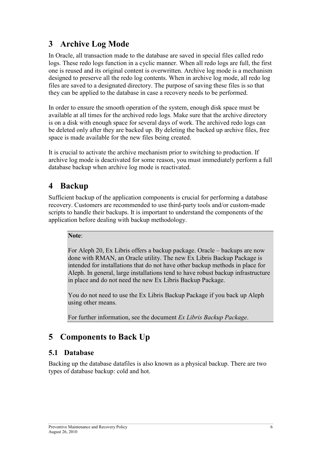# <span id="page-5-0"></span>**3 Archive Log Mode**

In Oracle, all transaction made to the database are saved in special files called redo logs. These redo logs function in a cyclic manner. When all redo logs are full, the first one is reused and its original content is overwritten. Archive log mode is a mechanism designed to preserve all the redo log contents. When in archive log mode, all redo log files are saved to a designated directory. The purpose of saving these files is so that they can be applied to the database in case a recovery needs to be performed.

In order to ensure the smooth operation of the system, enough disk space must be available at all times for the archived redo logs. Make sure that the archive directory is on a disk with enough space for several days of work. The archived redo logs can be deleted only after they are backed up. By deleting the backed up archive files, free space is made available for the new files being created.

It is crucial to activate the archive mechanism prior to switching to production. If archive log mode is deactivated for some reason, you must immediately perform a full database backup when archive log mode is reactivated.

# **4 Backup**

Sufficient backup of the application components is crucial for performing a database recovery. Customers are recommended to use third-party tools and/or custom-made scripts to handle their backups. It is important to understand the components of the application before dealing with backup methodology.

#### **Note**:

For Aleph 20, Ex Libris offers a backup package. Oracle – backups are now done with RMAN, an Oracle utility. The new Ex Libris Backup Package is intended for installations that do not have other backup methods in place for Aleph. In general, large installations tend to have robust backup infrastructure in place and do not need the new Ex Libris Backup Package.

You do not need to use the Ex Libris Backup Package if you back up Aleph using other means.

For further information, see the document *Ex Libris Backup Package*.

# **5 Components to Back Up**

## **5.1 Database**

Backing up the database datafiles is also known as a physical backup. There are two types of database backup: cold and hot.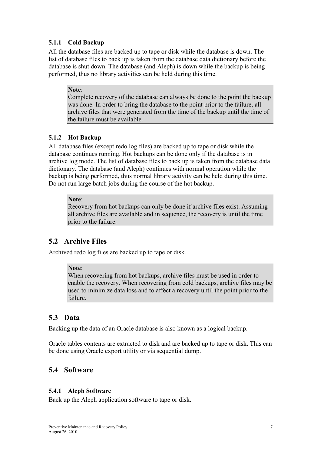#### <span id="page-6-0"></span>**5.1.1 Cold Backup**

All the database files are backed up to tape or disk while the database is down. The list of database files to back up is taken from the database data dictionary before the database is shut down. The database (and Aleph) is down while the backup is being performed, thus no library activities can be held during this time.

#### **Note**:

Complete recovery of the database can always be done to the point the backup was done. In order to bring the database to the point prior to the failure, all archive files that were generated from the time of the backup until the time of the failure must be available.

#### **5.1.2 Hot Backup**

All database files (except redo log files) are backed up to tape or disk while the database continues running. Hot backups can be done only if the database is in archive log mode. The list of database files to back up is taken from the database data dictionary. The database (and Aleph) continues with normal operation while the backup is being performed, thus normal library activity can be held during this time. Do not run large batch jobs during the course of the hot backup.

#### **Note**:

Recovery from hot backups can only be done if archive files exist. Assuming all archive files are available and in sequence, the recovery is until the time prior to the failure.

## **5.2 Archive Files**

Archived redo log files are backed up to tape or disk.

#### **Note**:

When recovering from hot backups, archive files must be used in order to enable the recovery. When recovering from cold backups, archive files may be used to minimize data loss and to affect a recovery until the point prior to the failure.

## **5.3 Data**

Backing up the data of an Oracle database is also known as a logical backup.

Oracle tables contents are extracted to disk and are backed up to tape or disk. This can be done using Oracle export utility or via sequential dump.

## **5.4 Software**

#### **5.4.1 Aleph Software**

Back up the Aleph application software to tape or disk.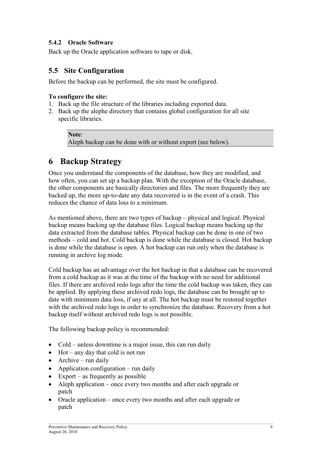#### <span id="page-7-0"></span>**5.4.2 Oracle Software**

Back up the Oracle application software to tape or disk.

## **5.5 Site Configuration**

Before the backup can be performed, the site must be configured.

#### **To configure the site:**

- 1. Back up the file structure of the libraries including exported data.
- 2. Back up the alephe directory that contains global configuration for all site specific libraries.

#### **Note**:

Aleph backup can be done with or without export (see below).

# **6 Backup Strategy**

Once you understand the components of the database, how they are modified, and how often, you can set up a backup plan. With the exception of the Oracle database, the other components are basically directories and files. The more frequently they are backed up, the more up-to-date any data recovered is in the event of a crash. This reduces the chance of data loss to a minimum.

As mentioned above, there are two types of backup – physical and logical. Physical backup means backing up the database files. Logical backup means backing up the data extracted from the database tables. Physical backup can be done in one of two methods – cold and hot. Cold backup is done while the database is closed. Hot backup is done while the database is open. A hot backup can run only when the database is running in archive log mode.

Cold backup has an advantage over the hot backup in that a database can be recovered from a cold backup as it was at the time of the backup with no need for additional files. If there are archived redo logs after the time the cold backup was taken, they can be applied. By applying these archived redo logs, the database can be brought up to date with minimum data loss, if any at all. The hot backup must be restored together with the archived redo logs in order to synchronize the database. Recovery from a hot backup itself without archived redo logs is not possible.

The following backup policy is recommended:

- Cold unless downtime is a major issue, this can run daily
- Hot any day that cold is not run
- Archive run daily
- Application configuration run daily
- Export as frequently as possible
- Aleph application once every two months and after each upgrade or patch
- Oracle application once every two months and after each upgrade or patch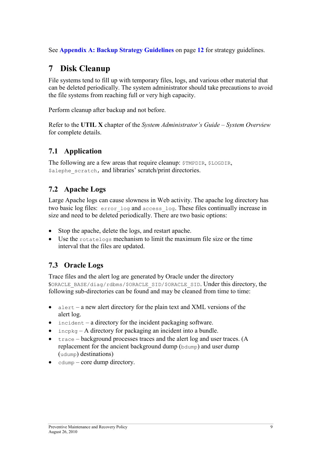<span id="page-8-0"></span>See **[Appendix A: Backup Strategy Guidelines](#page-11-0)** on page **[12](#page-11-0)** for strategy guidelines.

# **7 Disk Cleanup**

File systems tend to fill up with temporary files, logs, and various other material that can be deleted periodically. The system administrator should take precautions to avoid the file systems from reaching full or very high capacity.

Perform cleanup after backup and not before.

Refer to the **UTIL X** chapter of the *System Administrator's Guide* – *System Overview* for complete details.

## **7.1 Application**

The following are a few areas that require cleanup:  $$$ TMPDIR,  $$$ LOGDIR, \$alephe\_scratch, and libraries' scratch/print directories.

## **7.2 Apache Logs**

Large Apache logs can cause slowness in Web activity. The apache log directory has two basic log files: error\_log and access\_log. These files continually increase in size and need to be deleted periodically. There are two basic options:

- Stop the apache, delete the logs, and restart apache.
- Use the rotatelogs mechanism to limit the maximum file size or the time interval that the files are updated.

## **7.3 Oracle Logs**

Trace files and the alert log are generated by Oracle under the directory \$ORACLE\_BASE/diag/rdbms/\$ORACLE\_SID/\$ORACLE\_SID. Under this directory, the following sub-directories can be found and may be cleaned from time to time:

- $a$  lert a new alert directory for the plain text and XML versions of the alert log.
- incident a directory for the incident packaging software.
- $in \cosh q A$  directory for packaging an incident into a bundle.
- $trace background$  processes traces and the alert log and user traces. (A replacement for the ancient background dump (bdump) and user dump (udump) destinations)
- $\bullet$  cdump core dump directory.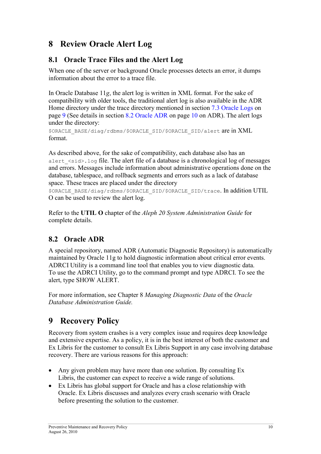# <span id="page-9-0"></span>**8 Review Oracle Alert Log**

## **8.1 Oracle Trace Files and the Alert Log**

When one of the server or background Oracle processes detects an error, it dumps information about the error to a trace file.

In Oracle Database 11*g*, the alert log is written in XML format. For the sake of compatibility with older tools, the traditional alert log is also available in the ADR Home directory under the trace directory mentioned in section [7.3 Oracle Logs](#page-8-0) on page [9](#page-8-0) (See details in section 8.2 Oracle ADR on page 10 on ADR). The alert logs under the directory:

\$ORACLE\_BASE/diag/rdbms/\$ORACLE\_SID/\$ORACLE\_SID/alert are in XML format.

As described above, for the sake of compatibility, each database also has an alert  $\langle$ sid>.log file. The alert file of a database is a chronological log of messages and errors. Messages include information about administrative operations done on the database, tablespace, and rollback segments and errors such as a lack of database space. These traces are placed under the directory

\$ORACLE\_BASE/diag/rdbms/\$ORACLE\_SID/\$ORACLE\_SID/trace. In addition UTIL O can be used to review the alert log.

Refer to the **UTIL O** chapter of the *Aleph 20 System Administration Guide* for complete details.

## **8.2 Oracle ADR**

A special repository, named ADR (Automatic Diagnostic Repository) is automatically maintained by Oracle 11g to hold diagnostic information about critical error events. ADRCI Utility is a command line tool that enables you to view diagnostic data. To use the ADRCI Utility, go to the command prompt and type ADRCI. To see the alert, type SHOW ALERT.

For more information, see Chapter 8 *Managing Diagnostic Data* of the *Oracle Database Administration Guide.*

# **9 Recovery Policy**

Recovery from system crashes is a very complex issue and requires deep knowledge and extensive expertise. As a policy, it is in the best interest of both the customer and Ex Libris for the customer to consult Ex Libris Support in any case involving database recovery. There are various reasons for this approach:

- Any given problem may have more than one solution. By consulting Ex Libris, the customer can expect to receive a wide range of solutions.
- Ex Libris has global support for Oracle and has a close relationship with Oracle. Ex Libris discusses and analyzes every crash scenario with Oracle before presenting the solution to the customer.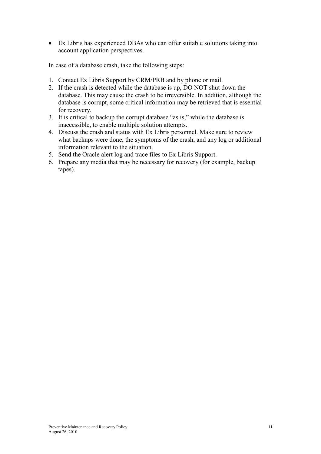• Ex Libris has experienced DBAs who can offer suitable solutions taking into account application perspectives.

In case of a database crash, take the following steps:

- 1. Contact Ex Libris Support by CRM/PRB and by phone or mail.
- 2. If the crash is detected while the database is up, DO NOT shut down the database. This may cause the crash to be irreversible. In addition, although the database is corrupt, some critical information may be retrieved that is essential for recovery.
- 3. It is critical to backup the corrupt database "as is," while the database is inaccessible, to enable multiple solution attempts.
- 4. Discuss the crash and status with Ex Libris personnel. Make sure to review what backups were done, the symptoms of the crash, and any log or additional information relevant to the situation.
- 5. Send the Oracle alert log and trace files to Ex Libris Support.
- 6. Prepare any media that may be necessary for recovery (for example, backup tapes).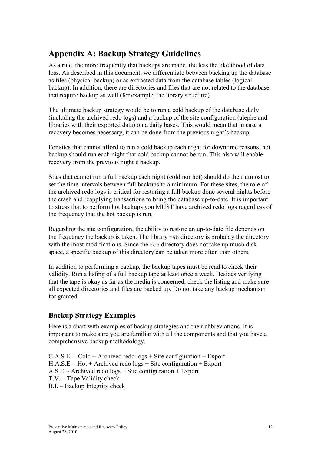# <span id="page-11-0"></span>**Appendix A: Backup Strategy Guidelines**

As a rule, the more frequently that backups are made, the less the likelihood of data loss. As described in this document, we differentiate between backing up the database as files (physical backup) or as extracted data from the database tables (logical backup). In addition, there are directories and files that are not related to the database that require backup as well (for example, the library structure).

The ultimate backup strategy would be to run a cold backup of the database daily (including the archived redo logs) and a backup of the site configuration (alephe and libraries with their exported data) on a daily bases. This would mean that in case a recovery becomes necessary, it can be done from the previous night's backup.

For sites that cannot afford to run a cold backup each night for downtime reasons, hot backup should run each night that cold backup cannot be run. This also will enable recovery from the previous night's backup.

Sites that cannot run a full backup each night (cold nor hot) should do their utmost to set the time intervals between full backups to a minimum. For these sites, the role of the archived redo logs is critical for restoring a full backup done several nights before the crash and reapplying transactions to bring the database up-to-date. It is important to stress that to perform hot backups you MUST have archived redo logs regardless of the frequency that the hot backup is run.

Regarding the site configuration, the ability to restore an up-to-date file depends on the frequency the backup is taken. The library tab directory is probably the directory with the most modifications. Since the tab directory does not take up much disk space, a specific backup of this directory can be taken more often than others.

In addition to performing a backup, the backup tapes must be read to check their validity. Run a listing of a full backup tape at least once a week. Besides verifying that the tape is okay as far as the media is concerned, check the listing and make sure all expected directories and files are backed up. Do not take any backup mechanism for granted.

## **Backup Strategy Examples**

Here is a chart with examples of backup strategies and their abbreviations. It is important to make sure you are familiar with all the components and that you have a comprehensive backup methodology.

 $C.A.S.E. - Cold + Archived redo logs + Site configuration + Export$ H.A.S.E. - Hot + Archived redo logs + Site configuration + Export A.S.E. - Archived redo logs + Site configuration + Export T.V. – Tape Validity check B.I. – Backup Integrity check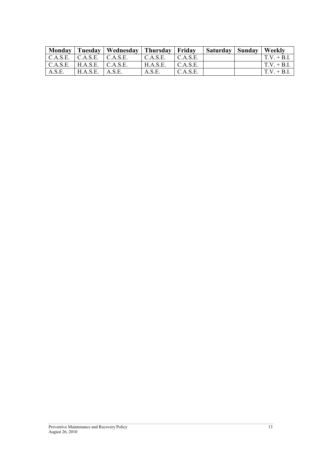|        |                                                    | Monday   Tuesday   Wednesday   Thursday   Friday |          |                 | Saturday   Sunday   Weekly |                     |
|--------|----------------------------------------------------|--------------------------------------------------|----------|-----------------|----------------------------|---------------------|
|        | $C.A.S.E.$ $C.A.S.E.$ $C.A.S.E.$                   |                                                  | C.A.S.E. | $\mid$ C.A.S.E. |                            | $T.V. + B.I.$       |
|        | $\vert$ C.A.S.E. $\vert$ H.A.S.E. $\vert$ C.A.S.E. |                                                  | H.A.S.E. | C.A.S.E.        |                            | $\vert$ T.V. + B.I. |
| A.S.E. | $H.A.S.E.$ $A.S.E.$                                |                                                  | A.S.E.   | C.A.S.E.        |                            | $\Gamma$ V + B.I.   |